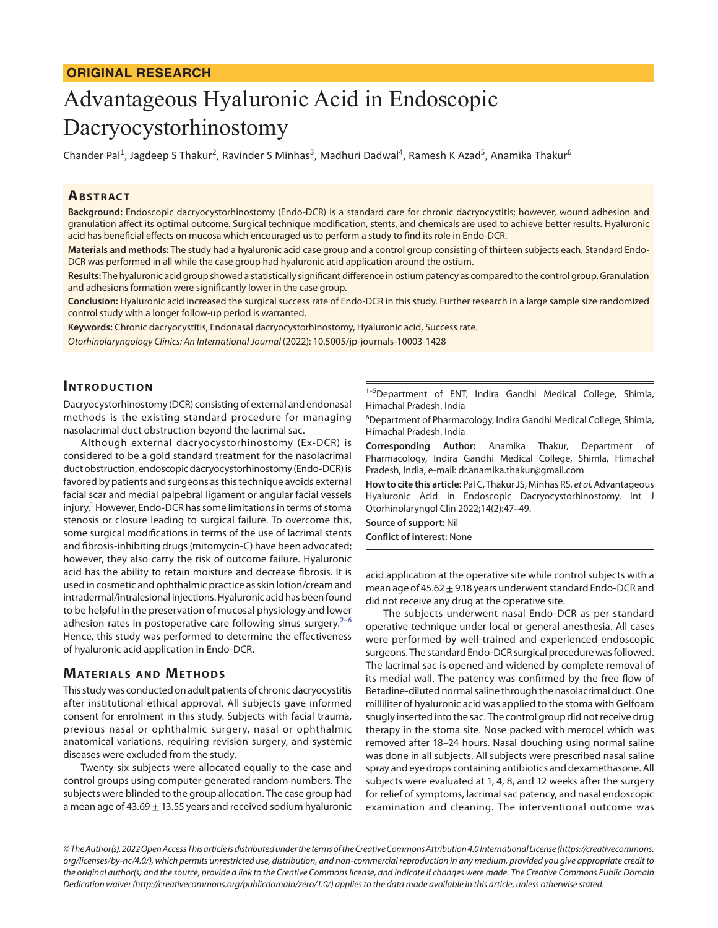#### **ORIGINAL RESEARCH**

# Advantageous Hyaluronic Acid in Endoscopic Dacryocystorhinostomy

Chander Pal<sup>1</sup>, Jagdeep S Thakur<sup>2</sup>, Ravinder S Minhas<sup>3</sup>, Madhuri Dadwal<sup>4</sup>, Ramesh K Azad<sup>5</sup>, Anamika Thakur<sup>6</sup>

## **ABSTRACT**

**Background:** Endoscopic dacryocystorhinostomy (Endo-DCR) is a standard care for chronic dacryocystitis; however, wound adhesion and granulation affect its optimal outcome. Surgical technique modification, stents, and chemicals are used to achieve better results. Hyaluronic acid has beneficial effects on mucosa which encouraged us to perform a study to find its role in Endo-DCR.

**Materials and methods:** The study had a hyaluronic acid case group and a control group consisting of thirteen subjects each. Standard Endo-DCR was performed in all while the case group had hyaluronic acid application around the ostium.

**Results:** The hyaluronic acid group showed a statistically significant difference in ostium patency as compared to the control group. Granulation and adhesions formation were significantly lower in the case group.

**Conclusion:** Hyaluronic acid increased the surgical success rate of Endo-DCR in this study. Further research in a large sample size randomized control study with a longer follow-up period is warranted.

**Keywords:** Chronic dacryocystitis, Endonasal dacryocystorhinostomy, Hyaluronic acid, Success rate. *Otorhinolaryngology Clinics: An International Journal* (2022): 10.5005/jp-journals-10003-1428

## **INTRODUCTION**

Dacryocystorhinostomy (DCR) consisting of external and endonasal methods is the existing standard procedure for managing nasolacrimal duct obstruction beyond the lacrimal sac.

Although external dacryocystorhinostomy (Ex-DCR) is considered to be a gold standard treatment for the nasolacrimal duct obstruction, endoscopic dacryocystorhinostomy (Endo-DCR) is favored by patients and surgeons as this technique avoids external facial scar and medial palpebral ligament or angular facial vessels injury.<sup>1</sup> However, Endo-DCR has some limitations in terms of stoma stenosis or closure leading to surgical failure. To overcome this, some surgical modifications in terms of the use of lacrimal stents and fibrosis-inhibiting drugs (mitomycin-C) have been advocated; however, they also carry the risk of outcome failure. Hyaluronic acid has the ability to retain moisture and decrease fibrosis. It is used in cosmetic and ophthalmic practice as skin lotion/cream and intradermal/intralesional injections. Hyaluronic acid has been found to be helpful in the preservation of mucosal physiology and lower adhesion rates in postoperative care following sinus surgery. $2-6$  $2-6$  $2-6$ Hence, this study was performed to determine the effectiveness of hyaluronic acid application in Endo-DCR.

#### **MATERIALS AND METHODS**

This study was conducted on adult patients of chronic dacryocystitis after institutional ethical approval. All subjects gave informed consent for enrolment in this study. Subjects with facial trauma, previous nasal or ophthalmic surgery, nasal or ophthalmic anatomical variations, requiring revision surgery, and systemic diseases were excluded from the study.

Twenty-six subjects were allocated equally to the case and control groups using computer-generated random numbers. The subjects were blinded to the group allocation. The case group had a mean age of 43.69  $\pm$  13.55 years and received sodium hyaluronic

<sup>1-5</sup>Department of ENT, Indira Gandhi Medical College, Shimla, Himachal Pradesh, India

6 Department of Pharmacology, Indira Gandhi Medical College, Shimla, Himachal Pradesh, India

**Corresponding Author:** Anamika Thakur, Department of Pharmacology, Indira Gandhi Medical College, Shimla, Himachal Pradesh, India, e-mail: dr.anamika.thakur@gmail.com

**How to cite this article:** Pal C, Thakur JS, Minhas RS, *et al.* Advantageous Hyaluronic Acid in Endoscopic Dacryocystorhinostomy. Int J Otorhinolaryngol Clin 2022;14(2):47–49.

**Source of support:** Nil **Conflict of interest:** None

acid application at the operative site while control subjects with a mean age of  $45.62 + 9.18$  years underwent standard Endo-DCR and did not receive any drug at the operative site.

The subjects underwent nasal Endo-DCR as per standard operative technique under local or general anesthesia. All cases were performed by well-trained and experienced endoscopic surgeons. The standard Endo-DCR surgical procedure was followed. The lacrimal sac is opened and widened by complete removal of its medial wall. The patency was confirmed by the free flow of Betadine-diluted normal saline through the nasolacrimal duct. One milliliter of hyaluronic acid was applied to the stoma with Gelfoam snugly inserted into the sac. The control group did not receive drug therapy in the stoma site. Nose packed with merocel which was removed after 18–24 hours. Nasal douching using normal saline was done in all subjects. All subjects were prescribed nasal saline spray and eye drops containing antibiotics and dexamethasone. All subjects were evaluated at 1, 4, 8, and 12 weeks after the surgery for relief of symptoms, lacrimal sac patency, and nasal endoscopic examination and cleaning. The interventional outcome was

*<sup>©</sup> The Author(s). 2022 Open Access This article is distributed under the terms of the Creative Commons Attribution 4.0 International License ([https://creativecommons.](https://creativecommons.org/licenses/by-nc/4.0/) [org/licenses/by-nc/4.0/](https://creativecommons.org/licenses/by-nc/4.0/)), which permits unrestricted use, distribution, and non-commercial reproduction in any medium, provided you give appropriate credit to the original author(s) and the source, provide a link to the Creative Commons license, and indicate if changes were made. The Creative Commons Public Domain Dedication waiver [\(http://creativecommons.org/publicdomain/zero/1.0/](http://creativecommons.org/publicdomain/zero/1.0/)) applies to the data made available in this article, unless otherwise stated.*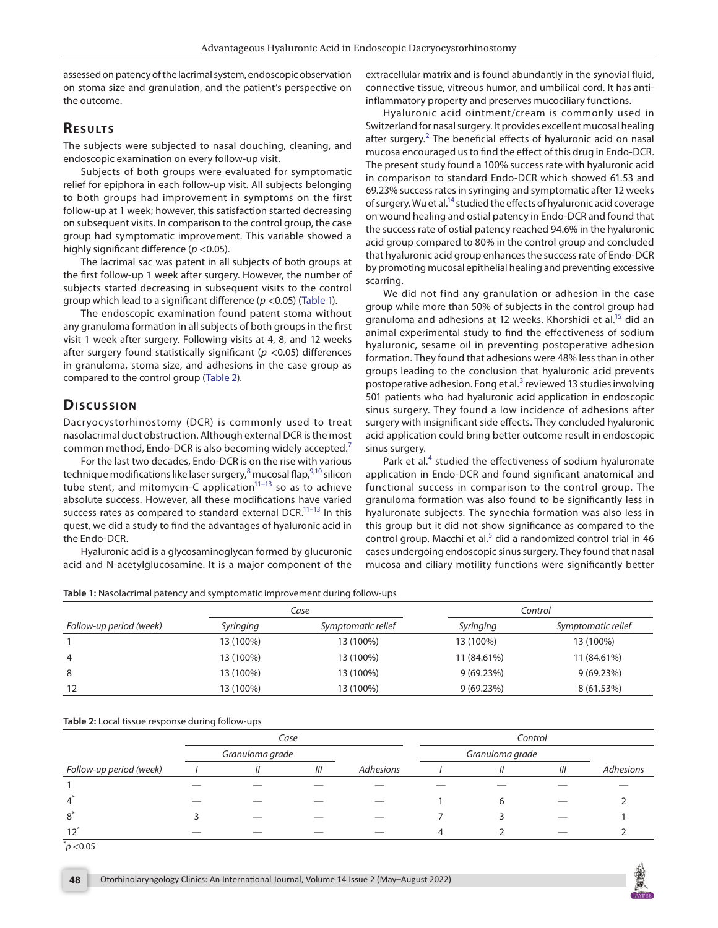assessed on patency of the lacrimal system, endoscopic observation on stoma size and granulation, and the patient's perspective on the outcome.

## **RESULTS**

The subjects were subjected to nasal douching, cleaning, and endoscopic examination on every follow-up visit.

Subjects of both groups were evaluated for symptomatic relief for epiphora in each follow-up visit. All subjects belonging to both groups had improvement in symptoms on the first follow-up at 1 week; however, this satisfaction started decreasing on subsequent visits. In comparison to the control group, the case group had symptomatic improvement. This variable showed a highly significant difference (*p* <0.05).

The lacrimal sac was patent in all subjects of both groups at the first follow-up 1 week after surgery. However, the number of subjects started decreasing in subsequent visits to the control group which lead to a significant difference (*p* <0.05) [\(Table 1\)](#page-1-0).

The endoscopic examination found patent stoma without any granuloma formation in all subjects of both groups in the first visit 1 week after surgery. Following visits at 4, 8, and 12 weeks after surgery found statistically significant (*p* <0.05) differences in granuloma, stoma size, and adhesions in the case group as compared to the control group ([Table 2](#page-1-1)).

## **Dis c u s sio n**

Dacryocystorhinostomy (DCR) is commonly used to treat nasolacrimal duct obstruction. Although external DCR is the most common method, Endo-DCR is also becoming widely accepted.[7](#page-2-3)

For the last two decades, Endo-DCR is on the rise with various technique modifications like laser surgery,<sup>[8](#page-2-4)</sup> mucosal flap,<sup>9,10</sup> silicon tube stent, and mitomycin-C application $11-13$  so as to achieve absolute success. However, all these modifications have varied success rates as compared to standard external DCR.<sup>11-13</sup> In this quest, we did a study to find the advantages of hyaluronic acid in the Endo-DCR.

Hyaluronic acid is a glycosaminoglycan formed by glucuronic acid and N-acetylglucosamine. It is a major component of the

extracellular matrix and is found abundantly in the synovial fluid, connective tissue, vitreous humor, and umbilical cord. It has antiinflammatory property and preserves mucociliary functions.

Hyaluronic acid ointment/cream is commonly used in Switzerland for nasal surgery. It provides excellent mucosal healing after surgery.<sup>[2](#page-2-1)</sup> The beneficial effects of hyaluronic acid on nasal mucosa encouraged us to find the effect of this drug in Endo-DCR. The present study found a 100% success rate with hyaluronic acid in comparison to standard Endo-DCR which showed 61.53 and 69.23% success rates in syringing and symptomatic after 12 weeks of surgery. Wu et al.<sup>14</sup> studied the effects of hyaluronic acid coverage on wound healing and ostial patency in Endo-DCR and found that the success rate of ostial patency reached 94.6% in the hyaluronic acid group compared to 80% in the control group and concluded that hyaluronic acid group enhances the success rate of Endo-DCR by promoting mucosal epithelial healing and preventing excessive scarring.

We did not find any granulation or adhesion in the case group while more than 50% of subjects in the control group had granuloma and adhesions at 12 weeks. Khorshidi et al.<sup>15</sup> did an animal experimental study to find the effectiveness of sodium hyaluronic, sesame oil in preventing postoperative adhesion formation. They found that adhesions were 48% less than in other groups leading to the conclusion that hyaluronic acid prevents postoperative adhesion. Fong et al.<sup>[3](#page-2-11)</sup> reviewed 13 studies involving 501 patients who had hyaluronic acid application in endoscopic sinus surgery. They found a low incidence of adhesions after surgery with insignificant side effects. They concluded hyaluronic acid application could bring better outcome result in endoscopic sinus surgery.

Park et al.<sup>[4](#page-2-12)</sup> studied the effectiveness of sodium hyaluronate application in Endo-DCR and found significant anatomical and functional success in comparison to the control group. The granuloma formation was also found to be significantly less in hyaluronate subjects. The synechia formation was also less in this group but it did not show significance as compared to the control group. Macchi et al.<sup>[5](#page-2-13)</sup> did a randomized control trial in 46 cases undergoing endoscopic sinus surgery. They found that nasal mucosa and ciliary motility functions were significantly better

<span id="page-1-0"></span>

|                         |           | Case               | Control     |                    |  |
|-------------------------|-----------|--------------------|-------------|--------------------|--|
| Follow-up period (week) | Syringing | Symptomatic relief |             | Symptomatic relief |  |
|                         | 13 (100%) | 13 (100%)          | 13 (100%)   | 13 (100%)          |  |
| 4                       | 13 (100%) | 13 (100%)          | 11 (84.61%) | 11 (84.61%)        |  |
| 8                       | 13 (100%) | 13 (100%)          | 9(69.23%)   | 9(69.23%)          |  |
| 12                      | 13 (100%) | 13 (100%)          | 9(69.23%)   | 8 (61.53%)         |  |

<span id="page-1-1"></span>**Table 2:** Local tissue response during follow-ups

|                         |                 | Case          |     |           |                 | Control       |     |           |  |
|-------------------------|-----------------|---------------|-----|-----------|-----------------|---------------|-----|-----------|--|
|                         | Granuloma grade |               |     |           | Granuloma grade |               |     |           |  |
| Follow-up period (week) |                 | $\mathcal{U}$ | III | Adhesions |                 | $\mathcal{U}$ | III | Adhesions |  |
|                         |                 |               |     |           |                 |               |     |           |  |
| $\overline{4}$          |                 |               |     |           |                 |               |     |           |  |
| 8                       |                 |               |     |           |                 |               |     |           |  |
|                         |                 |               |     |           |                 |               |     |           |  |

 $\phi$   $<$  0.05